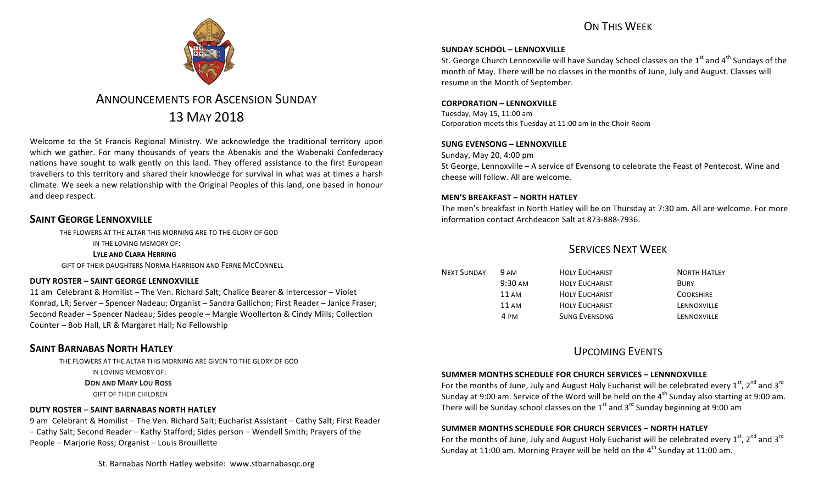# ON THIS WFFK



# **ANNOUNCEMENTS FOR ASCENSION SUNDAY** 13 MAY 2018

Welcome to the St Francis Regional Ministry. We acknowledge the traditional territory upon which we gather. For many thousands of years the Abenakis and the Wabenaki Confederacy nations have sought to walk gently on this land. They offered assistance to the first European travellers to this territory and shared their knowledge for survival in what was at times a harsh climate. We seek a new relationship with the Original Peoples of this land, one based in honour and deep respect.

## **SAINT GEORGE LENNOXVILLE**

THE FLOWERS AT THE ALTAR THIS MORNING ARE TO THE GLORY OF GOD

IN THE LOVING MEMORY OF:

### LYLE AND CLARA HERRING

GIFT OF THEIR DAUGHTERS NORMA HARRISON AND FERNE MCCONNELL

### **DUTY ROSTER – SAINT GEORGE LENNOXVILLE**

11 am Celebrant & Homilist – The Ven. Richard Salt: Chalice Bearer & Intercessor – Violet Konrad, LR; Server - Spencer Nadeau; Organist - Sandra Gallichon; First Reader - Janice Fraser; Second Reader – Spencer Nadeau; Sides people – Margie Woollerton & Cindy Mills; Collection Counter - Bob Hall, LR & Margaret Hall; No Fellowship

# **SAINT BARNABAS NORTH HATLEY**

THE FLOWERS AT THE ALTAR THIS MORNING ARE GIVEN TO THE GLORY OF GOD IN LOVING MEMORY OF:

**DON AND MARY LOU ROSS** 

**GIFT OF THEIR CHILDREN** 

### **DUTY ROSTER – SAINT BARNABAS NORTH HATLEY**

9 am Celebrant & Homilist – The Ven. Richard Salt; Eucharist Assistant – Cathy Salt; First Reader – Cathy Salt; Second Reader – Kathy Stafford; Sides person – Wendell Smith; Prayers of the People – Marjorie Ross; Organist – Louis Brouillette

St. Barnabas North Hatley website: www.stbarnabasgc.org

### **SUNDAY SCHOOL – LENNOXVILLE**

St. George Church Lennoxville will have Sunday School classes on the 1<sup>st</sup> and 4<sup>th</sup> Sundays of the month of May. There will be no classes in the months of June, July and August. Classes will resume in the Month of September.

### **CORPORATION – LENNOXVILLE**

Tuesday, May 15, 11:00 am Corporation meets this Tuesday at 11:00 am in the Choir Room

### **SUNG EVENSONG – LENNOXVILLE**

Sunday, May 20, 4:00 pm St George, Lennoxville – A service of Evensong to celebrate the Feast of Pentecost. Wine and cheese will follow. All are welcome.

### **MEN'S BREAKFAST – NORTH HATLEY**

The men's breakfast in North Hatley will be on Thursday at 7:30 am. All are welcome. For more information contact Archdeacon Salt at 873-888-7936.

## SERVICES NEXT WEEK

| <b>NEXT SUNDAY</b> | 9 AM              | <b>HOLY EUCHARIST</b> | <b>NORTH HATLEY</b> |
|--------------------|-------------------|-----------------------|---------------------|
|                    | $9:30 \text{ AM}$ | <b>HOLY EUCHARIST</b> | <b>BURY</b>         |
|                    | 11 AM             | <b>HOLY EUCHARIST</b> | <b>COOKSHIRE</b>    |
|                    | $11 \text{ AM}$   | <b>HOLY EUCHARIST</b> | LENNOXVILLE         |
|                    | 4 PM              | <b>SUNG EVENSONG</b>  | LENNOXVILLE         |

# UPCOMING EVENTS

### **SUMMER MONTHS SCHEDULE FOR CHURCH SERVICES – LENNNOXVILLE**

For the months of June, July and August Holy Eucharist will be celebrated every  $1^{st}$ ,  $2^{nd}$  and  $3^{rd}$ Sunday at 9:00 am. Service of the Word will be held on the  $4<sup>th</sup>$  Sunday also starting at 9:00 am. There will be Sunday school classes on the  $1<sup>st</sup>$  and  $3<sup>rd</sup>$  Sunday beginning at 9:00 am

### **SUMMER MONTHS SCHEDULE FOR CHURCH SERVICES – NORTH HATLEY**

For the months of June, July and August Holy Eucharist will be celebrated every  $1^{st}$ ,  $2^{nd}$  and  $3^{rd}$ Sunday at 11:00 am. Morning Prayer will be held on the  $4<sup>th</sup>$  Sunday at 11:00 am.